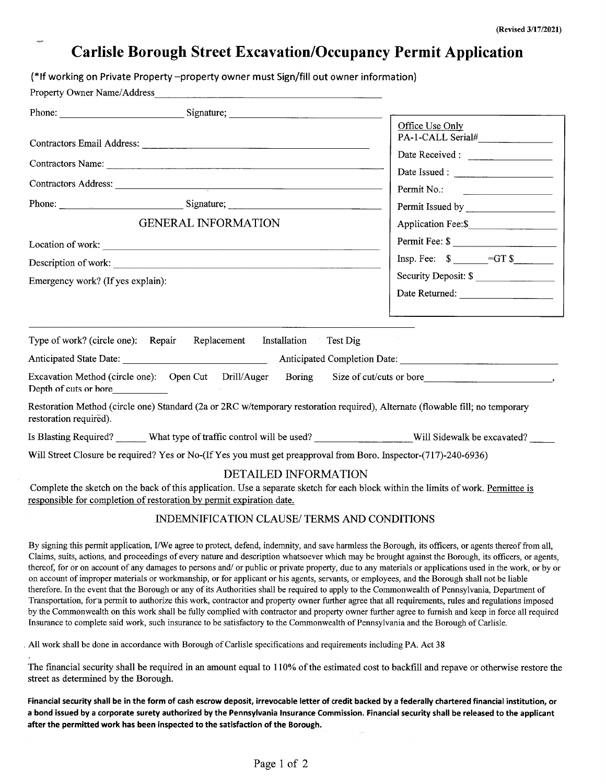## **Carlisle Borough Street Excavation/Occupancy Permit Application**

(\*If working on Private Property -property owner must Sign/fill out owner information)

Property Owner Name/Address

| Phone: Signature; Signature; Signature; Signature; Signature; Signature; Signature; Signature; Signature; Signature; Signature; Signature; Signature; Signature; Signature; Signature; Signature; Signature; Signature; Signat                                                                                                                                                                                                                                                                                                                                                                                                                                                                                                                                                                                                                                                                                                                                                                                                                                                                                                                                                                                                         |                                                                   |
|----------------------------------------------------------------------------------------------------------------------------------------------------------------------------------------------------------------------------------------------------------------------------------------------------------------------------------------------------------------------------------------------------------------------------------------------------------------------------------------------------------------------------------------------------------------------------------------------------------------------------------------------------------------------------------------------------------------------------------------------------------------------------------------------------------------------------------------------------------------------------------------------------------------------------------------------------------------------------------------------------------------------------------------------------------------------------------------------------------------------------------------------------------------------------------------------------------------------------------------|-------------------------------------------------------------------|
|                                                                                                                                                                                                                                                                                                                                                                                                                                                                                                                                                                                                                                                                                                                                                                                                                                                                                                                                                                                                                                                                                                                                                                                                                                        | Office Use Only                                                   |
|                                                                                                                                                                                                                                                                                                                                                                                                                                                                                                                                                                                                                                                                                                                                                                                                                                                                                                                                                                                                                                                                                                                                                                                                                                        | Date Received :                                                   |
|                                                                                                                                                                                                                                                                                                                                                                                                                                                                                                                                                                                                                                                                                                                                                                                                                                                                                                                                                                                                                                                                                                                                                                                                                                        |                                                                   |
|                                                                                                                                                                                                                                                                                                                                                                                                                                                                                                                                                                                                                                                                                                                                                                                                                                                                                                                                                                                                                                                                                                                                                                                                                                        | Permit No.:                                                       |
| Phone: Signature; Signature; Signature; Signature; Signature; Signature; Signature; Signature; Signature; Signature; Signature; Signature; Signature; Signature; Signature; Signature; Signature; Signature; Signature; Signat                                                                                                                                                                                                                                                                                                                                                                                                                                                                                                                                                                                                                                                                                                                                                                                                                                                                                                                                                                                                         |                                                                   |
| <b>GENERAL INFORMATION</b>                                                                                                                                                                                                                                                                                                                                                                                                                                                                                                                                                                                                                                                                                                                                                                                                                                                                                                                                                                                                                                                                                                                                                                                                             |                                                                   |
| Location of work:                                                                                                                                                                                                                                                                                                                                                                                                                                                                                                                                                                                                                                                                                                                                                                                                                                                                                                                                                                                                                                                                                                                                                                                                                      | Permit Fee: \$                                                    |
| Description of work:                                                                                                                                                                                                                                                                                                                                                                                                                                                                                                                                                                                                                                                                                                                                                                                                                                                                                                                                                                                                                                                                                                                                                                                                                   | $Insp. Fee: \quad \text{\textsterling} = GT \text{\textsterling}$ |
| Emergency work? (If yes explain):                                                                                                                                                                                                                                                                                                                                                                                                                                                                                                                                                                                                                                                                                                                                                                                                                                                                                                                                                                                                                                                                                                                                                                                                      | Security Deposit: \$                                              |
|                                                                                                                                                                                                                                                                                                                                                                                                                                                                                                                                                                                                                                                                                                                                                                                                                                                                                                                                                                                                                                                                                                                                                                                                                                        | Date Returned:                                                    |
|                                                                                                                                                                                                                                                                                                                                                                                                                                                                                                                                                                                                                                                                                                                                                                                                                                                                                                                                                                                                                                                                                                                                                                                                                                        |                                                                   |
| Type of work? (circle one): Repair Replacement Installation Test Dig                                                                                                                                                                                                                                                                                                                                                                                                                                                                                                                                                                                                                                                                                                                                                                                                                                                                                                                                                                                                                                                                                                                                                                   |                                                                   |
| Excavation Method (circle one): Open Cut Drill/Auger Boring Size of cut/cuts or bore<br>Depth of cuts or bore                                                                                                                                                                                                                                                                                                                                                                                                                                                                                                                                                                                                                                                                                                                                                                                                                                                                                                                                                                                                                                                                                                                          |                                                                   |
| Restoration Method (circle one) Standard (2a or 2RC w/temporary restoration required), Alternate (flowable fill; no temporary<br>restoration required).                                                                                                                                                                                                                                                                                                                                                                                                                                                                                                                                                                                                                                                                                                                                                                                                                                                                                                                                                                                                                                                                                |                                                                   |
| Is Blasting Required? What type of traffic control will be used? Will Sidewalk be excavated?                                                                                                                                                                                                                                                                                                                                                                                                                                                                                                                                                                                                                                                                                                                                                                                                                                                                                                                                                                                                                                                                                                                                           |                                                                   |
| Will Street Closure be required? Yes or No-(If Yes you must get preapproval from Boro. Inspector-(717)-240-6936)                                                                                                                                                                                                                                                                                                                                                                                                                                                                                                                                                                                                                                                                                                                                                                                                                                                                                                                                                                                                                                                                                                                       |                                                                   |
| <b>DETAILED INFORMATION</b>                                                                                                                                                                                                                                                                                                                                                                                                                                                                                                                                                                                                                                                                                                                                                                                                                                                                                                                                                                                                                                                                                                                                                                                                            |                                                                   |
| Complete the sketch on the back of this application. Use a separate sketch for each block within the limits of work. Permittee is<br>responsible for completion of restoration by permit expiration date.                                                                                                                                                                                                                                                                                                                                                                                                                                                                                                                                                                                                                                                                                                                                                                                                                                                                                                                                                                                                                              |                                                                   |
| INDEMNIFICATION CLAUSE/TERMS AND CONDITIONS                                                                                                                                                                                                                                                                                                                                                                                                                                                                                                                                                                                                                                                                                                                                                                                                                                                                                                                                                                                                                                                                                                                                                                                            |                                                                   |
| By signing this permit application, I/We agree to protect, defend, indemnity, and save harmless the Borough, its officers, or agents thereof from all,<br>Claims, suits, actions, and proceedings of every nature and description whatsoever which may be brought against the Borough, its officers, or agents,<br>thereof, for or on account of any damages to persons and/ or public or private property, due to any materials or applications used in the work, or by or<br>on account of improper materials or workmanship, or for applicant or his agents, servants, or employees, and the Borough shall not be liable<br>therefore. In the event that the Borough or any of its Authorities shall be required to apply to the Commonwealth of Pennsylvania, Department of<br>Transportation, for a permit to authorize this work, contractor and property owner further agree that all requirements, rules and regulations imposed<br>by the Commonwealth on this work shall be fully complied with contractor and property owner further agree to furnish and keep in force all required<br>Insurance to complete said work, such insurance to be satisfactory to the Commonwealth of Pennsylvania and the Borough of Carlisle. |                                                                   |
| All work shall be done in accordance with Borough of Carlisle specifications and requirements including PA. Act 38                                                                                                                                                                                                                                                                                                                                                                                                                                                                                                                                                                                                                                                                                                                                                                                                                                                                                                                                                                                                                                                                                                                     |                                                                   |

The financial security shall be required in an amount equal to 110% of the estimated cost to backfill and repave or otherwise restore the street as determined by the Borough.

Financial security shall be in the form of cash escrow deposit, irrevocable letter of credit backed by a federally chartered financial institution, or a bond issued by a corporate surety authorized by the Pennsylvania Insurance Commission. Financial security shall be released to the applicant after the permitted work has been inspected to the satisfaction of the Borough.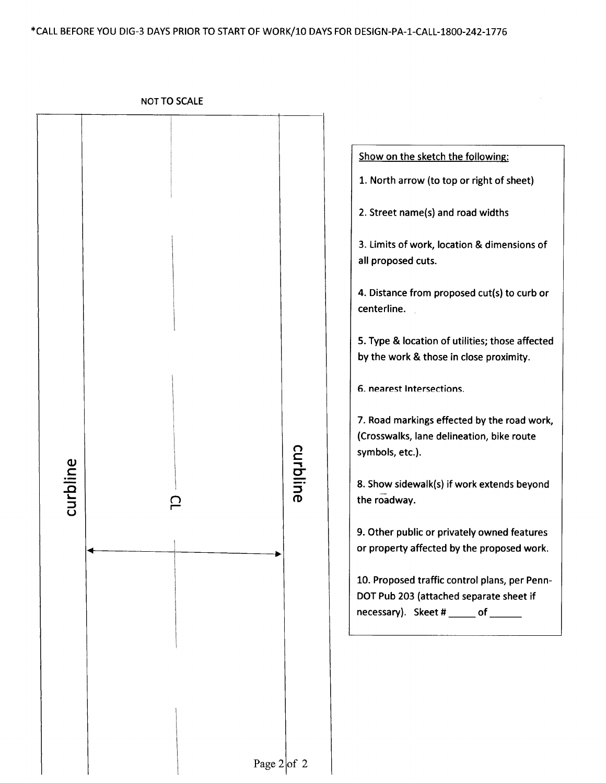**NOT TO SCALE**